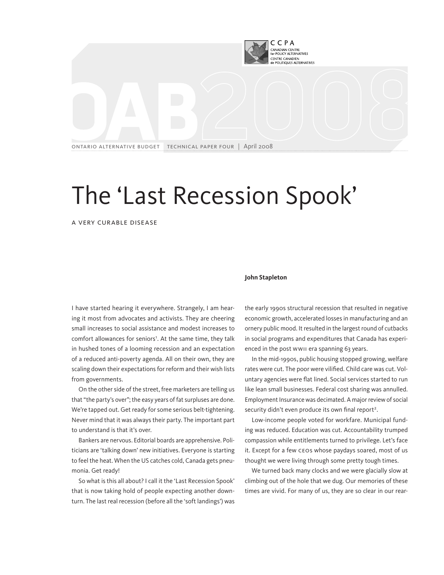

# The 'Last Recession Spook'

A Very Curable Disease

## **John Stapleton**

I have started hearing it everywhere. Strangely, I am hearing it most from advocates and activists. They are cheering small increases to social assistance and modest increases to comfort allowances for seniors<sup>1</sup>. At the same time, they talk in hushed tones of a looming recession and an expectation of a reduced anti-poverty agenda. All on their own, they are scaling down their expectations for reform and their wish lists from governments.

On the other side of the street, free marketers are telling us that "the party's over"; the easy years of fat surpluses are done. We're tapped out. Get ready for some serious belt-tightening. Never mind that it was always their party. The important part to understand is that it's over.

Bankers are nervous. Editorial boards are apprehensive. Politicians are 'talking down' new initiatives. Everyone is starting to feel the heat. When the US catches cold, Canada gets pneumonia. Get ready!

So what is this all about? I call it the 'Last Recession Spook' that is now taking hold of people expecting another downturn. The last real recession (before all the 'soft landings') was the early 1990s structural recession that resulted in negative economic growth, accelerated losses in manufacturing and an ornery public mood. It resulted in the largest round of cutbacks in social programs and expenditures that Canada has experienced in the post WWII era spanning 63 years.

In the mid-1990s, public housing stopped growing, welfare rates were cut. The poor were vilified. Child care was cut. Voluntary agencies were flat lined. Social services started to run like lean small businesses. Federal cost sharing was annulled. Employment Insurance was decimated. A major review of social security didn't even produce its own final report<sup>2</sup>.

Low-income people voted for workfare. Municipal funding was reduced. Education was cut. Accountability trumped compassion while entitlements turned to privilege. Let's face it. Except for a few CEOs whose paydays soared, most of us thought we were living through some pretty tough times.

We turned back many clocks and we were glacially slow at climbing out of the hole that we dug. Our memories of these times are vivid. For many of us, they are so clear in our rear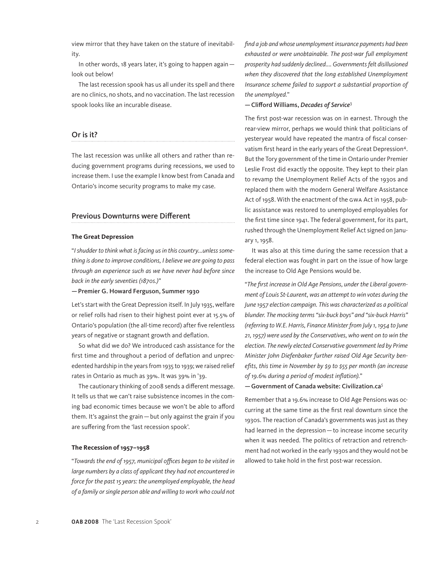view mirror that they have taken on the stature of inevitability.

In other words, 18 years later, it's going to happen again look out below!

The last recession spook has us all under its spell and there are no clinics, no shots, and no vaccination. The last recession spook looks like an incurable disease.

## Or is it?

The last recession was unlike all others and rather than reducing government programs during recessions, we used to increase them. I use the example I know best from Canada and Ontario's income security programs to make my case.

## Previous Downturns were Different

#### **The Great Depression**

"*I shudder to think what is facing us in this country...unless something is done to improve conditions, I believe we are going to pass through an experience such as we have never had before since back in the early seventies (1870s.)*"

—Premier G. Howard Ferguson, Summer 1930

Let's start with the Great Depression itself. In July 1935, welfare or relief rolls had risen to their highest point ever at 15.5% of Ontario's population (the all-time record) after five relentless years of negative or stagnant growth and deflation.

So what did we do? We introduced cash assistance for the first time and throughout a period of deflation and unprecedented hardship in the years from 1935 to 1939; we raised relief rates in Ontario as much as 39%. It was 39% in '39.

The cautionary thinking of 2008 sends a different message. It tells us that we can't raise subsistence incomes in the coming bad economic times because we won't be able to afford them. It's against the grain—but only against the grain if you are suffering from the 'last recession spook'.

## **The Recession of 1957–1958**

"*Towards the end of 1957, municipal offices began to be visited in large numbers by a class of applicant they had not encountered in force for the past 15 years: the unemployed employable, the head of a family or single person able and willing to work who could not*  *find a job and whose unemployment insurance payments had been exhausted or were unobtainable. The post-war full employment prosperity had suddenly declined.... Governments felt disillusioned when they discovered that the long established Unemployment Insurance scheme failed to support a substantial proportion of the unemployed.*"

## —Clifford Williams, *Decades of Service*<sup>3</sup>

The first post-war recession was on in earnest. Through the rear-view mirror, perhaps we would think that politicians of yesteryear would have repeated the mantra of fiscal conservatism first heard in the early years of the Great Depression4. But the Tory government of the time in Ontario under Premier Leslie Frost did exactly the opposite. They kept to their plan to revamp the Unemployment Relief Acts of the 1930s and replaced them with the modern General Welfare Assistance Act of 1958. With the enactment of the GWA Act in 1958, public assistance was restored to unemployed employables for the first time since 1941. The federal government, for its part, rushed through the Unemployment Relief Act signed on January 1, 1958.

It was also at this time during the same recession that a federal election was fought in part on the issue of how large the increase to Old Age Pensions would be.

"*The first increase in Old Age Pensions, under the Liberal government of Louis St-Laurent, was an attempt to win votes during the June 1957 election campaign. This was characterized as a political blunder. The mocking terms "six-buck boys" and "six-buck Harris" (referring to W.E. Harris, Finance Minister from July 1, 1954 to June 21, 1957) were used by the Conservatives, who went on to win the election. The newly elected Conservative government led by Prime Minister John Diefenbaker further raised Old Age Security benefits, this time in November by \$9 to \$55 per month (an increase of 19.6% during a period of modest inflation).*"

—Government of Canada website: Civilization.ca*<sup>5</sup>*

Remember that a 19.6% increase to Old Age Pensions was occurring at the same time as the first real downturn since the 1930s. The reaction of Canada's governments was just as they had learned in the depression—to increase income security when it was needed. The politics of retraction and retrenchment had not worked in the early 1930s and they would not be allowed to take hold in the first post-war recession.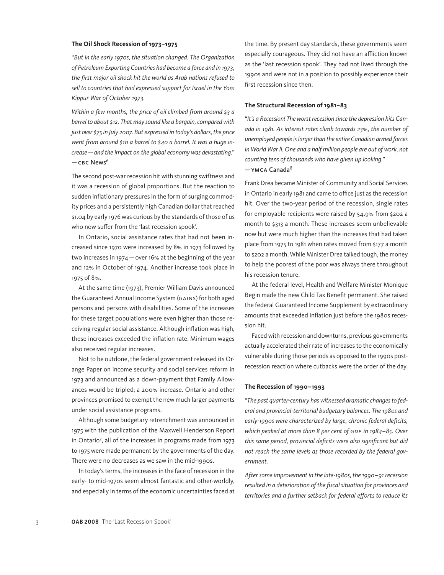## **The Oil Shock Recession of 1973–1975**

"*But in the early 1970s, the situation changed. The Organization of Petroleum Exporting Countries had become a force and in 1973, the first major oil shock hit the world as Arab nations refused to sell to countries that had expressed support for Israel in the Yom Kippur War of October 1973.* 

*Within a few months, the price of oil climbed from around \$3 a barrel to about \$12. That may sound like a bargain, compared with just over \$75 in July 2007. But expressed in today's dollars, the price went from around \$10 a barrel to \$40 a barrel. It was a huge increase—and the impact on the global economy was devastating.*"  $-$ CBC News<sup>6</sup>

The second post-war recession hit with stunning swiftness and it was a recession of global proportions. But the reaction to sudden inflationary pressures in the form of surging commodity prices and a persistently high Canadian dollar that reached \$1.04 by early 1976 was curious by the standards of those of us who now suffer from the 'last recession spook'.

In Ontario, social assistance rates that had not been increased since 1970 were increased by 8% in 1973 followed by two increases in 1974—over 16% at the beginning of the year and 12% in October of 1974. Another increase took place in 1975 of 8%.

At the same time (1973), Premier William Davis announced the Guaranteed Annual Income System (GAINS) for both aged persons and persons with disabilities. Some of the increases for these target populations were even higher than those receiving regular social assistance. Although inflation was high, these increases exceeded the inflation rate. Minimum wages also received regular increases.

Not to be outdone, the federal government released its Orange Paper on income security and social services reform in 1973 and announced as a down-payment that Family Allowances would be tripled; a 200% increase. Ontario and other provinces promised to exempt the new much larger payments under social assistance programs.

Although some budgetary retrenchment was announced in 1975 with the publication of the Maxwell Henderson Report in Ontario<sup>7</sup> , all of the increases in programs made from 1973 to 1975 were made permanent by the governments of the day. There were no decreases as we saw in the mid-1990s.

In today's terms, the increases in the face of recession in the early- to mid-1970s seem almost fantastic and other-worldly, and especially in terms of the economic uncertainties faced at the time. By present day standards, these governments seem especially courageous. They did not have an affliction known as the 'last recession spook'. They had not lived through the 1990s and were not in a position to possibly experience their first recession since then.

#### **The Structural Recession of 1981–83**

"*It's a Recession! The worst recession since the depression hits Canada in 1981. As interest rates climb towards 23%, the number of unemployed people is larger than the entire Canadian armed forces in World War ll. One and a half million people are out of work, not counting tens of thousands who have given up looking.*"

## $-$ YMCA Canada<sup>8</sup>

Frank Drea became Minister of Community and Social Services in Ontario in early 1981 and came to office just as the recession hit. Over the two-year period of the recession, single rates for employable recipients were raised by 54.9% from \$202 a month to \$313 a month. These increases seem unbelievable now but were much higher than the increases that had taken place from 1975 to 1981 when rates moved from \$177 a month to \$202 a month. While Minister Drea talked tough, the money to help the poorest of the poor was always there throughout his recession tenure.

At the federal level, Health and Welfare Minister Monique Begin made the new Child Tax Benefit permanent. She raised the federal Guaranteed Income Supplement by extraordinary amounts that exceeded inflation just before the 1980s recession hit.

Faced with recession and downturns, previous governments actually accelerated their rate of increases to the economically vulnerable during those periods as opposed to the 1990s postrecession reaction where cutbacks were the order of the day.

#### **The Recession of 1990–1993**

"*The past quarter-century has witnessed dramatic changes to federal and provincial-territorial budgetary balances. The 1980s and early-1990s were characterized by large, chronic federal deficits, which peaked at more than 8 per cent of GDP in 1984–85. Over this same period, provincial deficits were also significant but did not reach the same levels as those recorded by the federal government.*

*After some improvement in the late-1980s, the 1990–91 recession resulted in a deterioration of the fiscal situation for provinces and territories and a further setback for federal efforts to reduce its*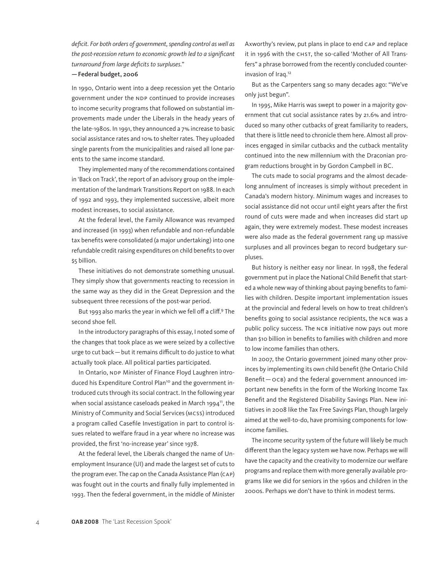*deficit. For both orders of government, spending control as well as the post-recession return to economic growth led to a significant turnaround from large deficits to surpluses.*"

## —Federal budget, 2006

In 1990, Ontario went into a deep recession yet the Ontario government under the NDP continued to provide increases to income security programs that followed on substantial improvements made under the Liberals in the heady years of the late-1980s. In 1991, they announced a 7% increase to basic social assistance rates and 10% to shelter rates. They uploaded single parents from the municipalities and raised all lone parents to the same income standard.

They implemented many of the recommendations contained in 'Back on Track', the report of an advisory group on the implementation of the landmark Transitions Report on 1988. In each of 1992 and 1993, they implemented successive, albeit more modest increases, to social assistance.

At the federal level, the Family Allowance was revamped and increased (in 1993) when refundable and non-refundable tax benefits were consolidated (a major undertaking) into one refundable credit raising expenditures on child benefits to over \$5 billion.

These initiatives do not demonstrate something unusual. They simply show that governments reacting to recession in the same way as they did in the Great Depression and the subsequent three recessions of the post-war period.

But 1993 also marks the year in which we fell off a cliff.9 The second shoe fell.

In the introductory paragraphs of this essay, I noted some of the changes that took place as we were seized by a collective urge to cut back—but it remains difficult to do justice to what actually took place. All political parties participated.

In Ontario, NDP Minister of Finance Floyd Laughren introduced his Expenditure Control Plan<sup>10</sup> and the government introduced cuts through its social contract. In the following year when social assistance caseloads peaked in March 1994 $^n$ , the Ministry of Community and Social Services (MCSS) introduced a program called Casefile Investigation in part to control issues related to welfare fraud in a year where no increase was provided, the first 'no-increase year' since 1978.

At the federal level, the Liberals changed the name of Unemployment Insurance (UI) and made the largest set of cuts to the program ever. The cap on the Canada Assistance Plan (CAP) was fought out in the courts and finally fully implemented in 1993. Then the federal government, in the middle of Minister Axworthy's review, put plans in place to end CAP and replace it in 1996 with the CHST, the so-called 'Mother of All Transfers" a phrase borrowed from the recently concluded counterinvasion of Iraq.12

But as the Carpenters sang so many decades ago: "We've only just begun".

In 1995, Mike Harris was swept to power in a majority government that cut social assistance rates by 21.6% and introduced so many other cutbacks of great familiarity to readers, that there is little need to chronicle them here. Almost all provinces engaged in similar cutbacks and the cutback mentality continued into the new millennium with the Draconian program reductions brought in by Gordon Campbell in BC.

The cuts made to social programs and the almost decadelong annulment of increases is simply without precedent in Canada's modern history. Minimum wages and increases to social assistance did not occur until eight years after the first round of cuts were made and when increases did start up again, they were extremely modest. These modest increases were also made as the federal government rang up massive surpluses and all provinces began to record budgetary surpluses.

But history is neither easy nor linear. In 1998, the federal government put in place the National Child Benefit that started a whole new way of thinking about paying benefits to families with children. Despite important implementation issues at the provincial and federal levels on how to treat children's benefits going to social assistance recipients, the NCB was a public policy success. The NCB initiative now pays out more than \$10 billion in benefits to families with children and more to low income families than others.

In 2007, the Ontario government joined many other provinces by implementing its own child benefit (the Ontario Child Benefit—OCB) and the federal government announced important new benefits in the form of the Working Income Tax Benefit and the Registered Disability Savings Plan. New initiatives in 2008 like the Tax Free Savings Plan, though largely aimed at the well-to-do, have promising components for lowincome families.

The income security system of the future will likely be much different than the legacy system we have now. Perhaps we will have the capacity and the creativity to modernize our welfare programs and replace them with more generally available programs like we did for seniors in the 1960s and children in the 2000s. Perhaps we don't have to think in modest terms.